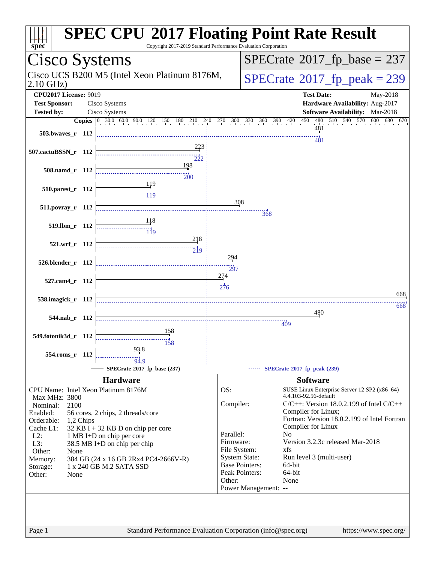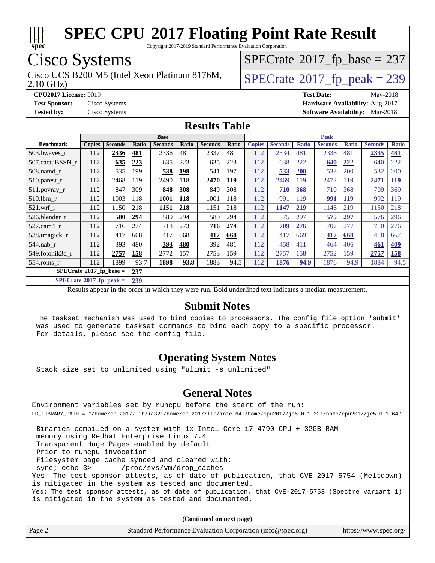

Copyright 2017-2019 Standard Performance Evaluation Corporation

## Cisco Systems

2.10 GHz) Cisco UCS B200 M5 (Intel Xeon Platinum 8176M,  $\big|$  [SPECrate](http://www.spec.org/auto/cpu2017/Docs/result-fields.html#SPECrate2017fppeak)®[2017\\_fp\\_peak = 2](http://www.spec.org/auto/cpu2017/Docs/result-fields.html#SPECrate2017fppeak)39

 $SPECTate$ <sup>®</sup>[2017\\_fp\\_base =](http://www.spec.org/auto/cpu2017/Docs/result-fields.html#SPECrate2017fpbase) 237

**[CPU2017 License:](http://www.spec.org/auto/cpu2017/Docs/result-fields.html#CPU2017License)** 9019 **[Test Date:](http://www.spec.org/auto/cpu2017/Docs/result-fields.html#TestDate)** May-2018 **[Test Sponsor:](http://www.spec.org/auto/cpu2017/Docs/result-fields.html#TestSponsor)** Cisco Systems **[Hardware Availability:](http://www.spec.org/auto/cpu2017/Docs/result-fields.html#HardwareAvailability)** Aug-2017 **[Tested by:](http://www.spec.org/auto/cpu2017/Docs/result-fields.html#Testedby)** Cisco Systems **[Software Availability:](http://www.spec.org/auto/cpu2017/Docs/result-fields.html#SoftwareAvailability)** Mar-2018

#### **[Results Table](http://www.spec.org/auto/cpu2017/Docs/result-fields.html#ResultsTable)**

|                            | <b>Base</b>   |                |       |                |       |                | <b>Peak</b> |               |                |              |                |              |                |              |
|----------------------------|---------------|----------------|-------|----------------|-------|----------------|-------------|---------------|----------------|--------------|----------------|--------------|----------------|--------------|
| <b>Benchmark</b>           | <b>Copies</b> | <b>Seconds</b> | Ratio | <b>Seconds</b> | Ratio | <b>Seconds</b> | Ratio       | <b>Copies</b> | <b>Seconds</b> | <b>Ratio</b> | <b>Seconds</b> | <b>Ratio</b> | <b>Seconds</b> | <b>Ratio</b> |
| 503.bwaves r               | 112           | 2336           | 481   | 2336           | 481   | 2337           | 481         | 112           | 2334           | 481          | 2336           | 481          | 2335           | 481          |
| 507.cactuBSSN r            | 112           | 635            | 223   | 635            | 223   | 635            | 223         | 112           | 638            | 222          | 640            | 222          | 640            | 222          |
| $508$ .namd $r$            | 112           | 535            | 199   | 538            | 198   | 541            | 197         | 112           | 533            | <b>200</b>   | 533            | 200          | 532            | 200          |
| 510.parest_r               | 112           | 2468           | 119   | 2490           | 118   | 2470           | 119         | 112           | 2469           | 119          | 2472           | 119          | 2471           | <b>119</b>   |
| 511.povray_r               | 112           | 847            | 309   | 848            | 308   | 849            | 308         | 112           | <b>710</b>     | 368          | 710            | 368          | 709            | 369          |
| $519$ .lbm $r$             | 112           | 1003           | 118   | 1001           | 118   | 1001           | 118         | 112           | 991            | 119          | 991            | <b>119</b>   | 992            | 119          |
| $521$ .wrf r               | 112           | 1150           | 218   | 1151           | 218   | 1151           | 218         | 112           | 1147           | 219          | 1146           | 219          | 1150           | 218          |
| 526.blender r              | 112           | 580            | 294   | 580            | 294   | 580            | 294         | 112           | 575            | 297          | 575            | 297          | 576            | 296          |
| 527.cam4 r                 | 112           | 716            | 274   | 718            | 273   | 716            | 274         | 112           | <u>709</u>     | <b>276</b>   | 707            | 277          | 710            | 276          |
| 538.imagick_r              | 112           | 417            | 668   | 417            | 668   | 417            | 668         | 112           | 417            | 669          | 417            | 668          | 418            | 667          |
| 544.nab r                  | 112           | 393            | 480   | 393            | 480   | 392            | 481         | 112           | 458            | 411          | 464            | 406          | 461            | 409          |
| 549.fotonik3d r            | 112           | 2757           | 158   | 2772           | 157   | 2753           | 159         | 112           | 2757           | 158          | 2752           | 159          | 2757           | 158          |
| $554$ .roms r              | 112           | 1899           | 93.7  | 1898           | 93.8  | 1883           | 94.5        | 112           | 1876           | 94.9         | 1876           | 94.9         | 1884           | 94.5         |
| $SPECrate*2017_fp\_base =$ |               |                | 237   |                |       |                |             |               |                |              |                |              |                |              |

**[SPECrate](http://www.spec.org/auto/cpu2017/Docs/result-fields.html#SPECrate2017fppeak)[2017\\_fp\\_peak =](http://www.spec.org/auto/cpu2017/Docs/result-fields.html#SPECrate2017fppeak) 239**

Results appear in the [order in which they were run.](http://www.spec.org/auto/cpu2017/Docs/result-fields.html#RunOrder) Bold underlined text [indicates a median measurement.](http://www.spec.org/auto/cpu2017/Docs/result-fields.html#Median)

#### **[Submit Notes](http://www.spec.org/auto/cpu2017/Docs/result-fields.html#SubmitNotes)**

 The taskset mechanism was used to bind copies to processors. The config file option 'submit' was used to generate taskset commands to bind each copy to a specific processor. For details, please see the config file.

### **[Operating System Notes](http://www.spec.org/auto/cpu2017/Docs/result-fields.html#OperatingSystemNotes)**

Stack size set to unlimited using "ulimit -s unlimited"

### **[General Notes](http://www.spec.org/auto/cpu2017/Docs/result-fields.html#GeneralNotes)**

Environment variables set by runcpu before the start of the run: LD\_LIBRARY\_PATH = "/home/cpu2017/lib/ia32:/home/cpu2017/lib/intel64:/home/cpu2017/je5.0.1-32:/home/cpu2017/je5.0.1-64"

 Binaries compiled on a system with 1x Intel Core i7-4790 CPU + 32GB RAM memory using Redhat Enterprise Linux 7.4 Transparent Huge Pages enabled by default Prior to runcpu invocation Filesystem page cache synced and cleared with: sync; echo 3> /proc/sys/vm/drop\_caches Yes: The test sponsor attests, as of date of publication, that CVE-2017-5754 (Meltdown) is mitigated in the system as tested and documented. Yes: The test sponsor attests, as of date of publication, that CVE-2017-5753 (Spectre variant 1) is mitigated in the system as tested and documented.

**(Continued on next page)**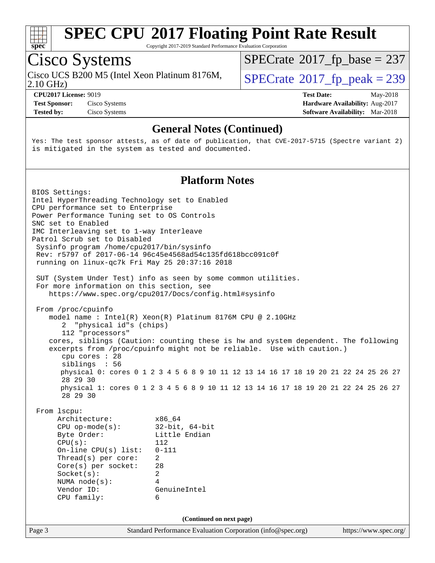

Copyright 2017-2019 Standard Performance Evaluation Corporation

## Cisco Systems

Cisco UCS B200 M5 (Intel Xeon Platinum 8176M,<br>2.10 GHz)

 $SPECTate$ <sup>®</sup>[2017\\_fp\\_base =](http://www.spec.org/auto/cpu2017/Docs/result-fields.html#SPECrate2017fpbase) 237

 $SPECTate<sup>®</sup>2017_fp_peak = 239$  $SPECTate<sup>®</sup>2017_fp_peak = 239$  $SPECTate<sup>®</sup>2017_fp_peak = 239$ 

**[Test Sponsor:](http://www.spec.org/auto/cpu2017/Docs/result-fields.html#TestSponsor)** Cisco Systems **[Hardware Availability:](http://www.spec.org/auto/cpu2017/Docs/result-fields.html#HardwareAvailability)** Aug-2017 **[Tested by:](http://www.spec.org/auto/cpu2017/Docs/result-fields.html#Testedby)** Cisco Systems **Cisco Systems [Software Availability:](http://www.spec.org/auto/cpu2017/Docs/result-fields.html#SoftwareAvailability)** Mar-2018

**[CPU2017 License:](http://www.spec.org/auto/cpu2017/Docs/result-fields.html#CPU2017License)** 9019 **[Test Date:](http://www.spec.org/auto/cpu2017/Docs/result-fields.html#TestDate)** May-2018

#### **[General Notes \(Continued\)](http://www.spec.org/auto/cpu2017/Docs/result-fields.html#GeneralNotes)**

Yes: The test sponsor attests, as of date of publication, that CVE-2017-5715 (Spectre variant 2) is mitigated in the system as tested and documented.

### **[Platform Notes](http://www.spec.org/auto/cpu2017/Docs/result-fields.html#PlatformNotes)**

Page 3 Standard Performance Evaluation Corporation [\(info@spec.org\)](mailto:info@spec.org) <https://www.spec.org/> BIOS Settings: Intel HyperThreading Technology set to Enabled CPU performance set to Enterprise Power Performance Tuning set to OS Controls SNC set to Enabled IMC Interleaving set to 1-way Interleave Patrol Scrub set to Disabled Sysinfo program /home/cpu2017/bin/sysinfo Rev: r5797 of 2017-06-14 96c45e4568ad54c135fd618bcc091c0f running on linux-qc7k Fri May 25 20:37:16 2018 SUT (System Under Test) info as seen by some common utilities. For more information on this section, see <https://www.spec.org/cpu2017/Docs/config.html#sysinfo> From /proc/cpuinfo model name : Intel(R) Xeon(R) Platinum 8176M CPU @ 2.10GHz 2 "physical id"s (chips) 112 "processors" cores, siblings (Caution: counting these is hw and system dependent. The following excerpts from /proc/cpuinfo might not be reliable. Use with caution.) cpu cores : 28 siblings : 56 physical 0: cores 0 1 2 3 4 5 6 8 9 10 11 12 13 14 16 17 18 19 20 21 22 24 25 26 27 28 29 30 physical 1: cores 0 1 2 3 4 5 6 8 9 10 11 12 13 14 16 17 18 19 20 21 22 24 25 26 27 28 29 30 From lscpu: Architecture: x86\_64 CPU op-mode(s): 32-bit, 64-bit Byte Order: Little Endian CPU(s): 112 On-line CPU(s) list: 0-111 Thread(s) per core: 2 Core(s) per socket: 28 Socket(s): 2 NUMA node(s): 4 Vendor ID: GenuineIntel CPU family: 6 **(Continued on next page)**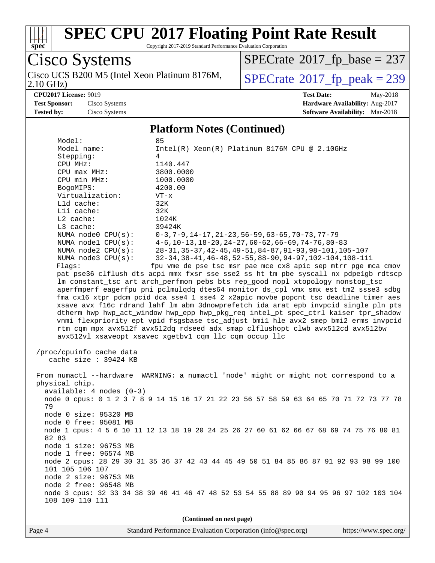

Copyright 2017-2019 Standard Performance Evaluation Corporation

Cisco Systems 2.10 GHz) Cisco UCS B200 M5 (Intel Xeon Platinum 8176M,  $SPECrate@2017_fp\_peak = 239$  $SPECrate@2017_fp\_peak = 239$ 

 $SPECTate$ <sup>®</sup>[2017\\_fp\\_base =](http://www.spec.org/auto/cpu2017/Docs/result-fields.html#SPECrate2017fpbase) 237

**[CPU2017 License:](http://www.spec.org/auto/cpu2017/Docs/result-fields.html#CPU2017License)** 9019 **[Test Date:](http://www.spec.org/auto/cpu2017/Docs/result-fields.html#TestDate)** May-2018 **[Test Sponsor:](http://www.spec.org/auto/cpu2017/Docs/result-fields.html#TestSponsor)** Cisco Systems **[Hardware Availability:](http://www.spec.org/auto/cpu2017/Docs/result-fields.html#HardwareAvailability)** Aug-2017 **[Tested by:](http://www.spec.org/auto/cpu2017/Docs/result-fields.html#Testedby)** Cisco Systems **[Software Availability:](http://www.spec.org/auto/cpu2017/Docs/result-fields.html#SoftwareAvailability)** Mar-2018

#### **[Platform Notes \(Continued\)](http://www.spec.org/auto/cpu2017/Docs/result-fields.html#PlatformNotes)**

| Model:                     | 85                                                                                      |
|----------------------------|-----------------------------------------------------------------------------------------|
| Model name:                | $Intel(R)$ Xeon $(R)$ Platinum 8176M CPU @ 2.10GHz                                      |
| Stepping:                  | 4                                                                                       |
| CPU MHz:                   | 1140.447                                                                                |
| CPU max MHz:               | 3800.0000                                                                               |
| CPU min MHz:               | 1000.0000                                                                               |
| BogoMIPS:                  | 4200.00                                                                                 |
| Virtualization:            | $VT - x$                                                                                |
| L1d cache:                 | 32K                                                                                     |
| Lli cache:                 | 32K                                                                                     |
| $L2$ cache:                | 1024K                                                                                   |
| L3 cache:                  | 39424K                                                                                  |
| NUMA node0 CPU(s):         | $0-3, 7-9, 14-17, 21-23, 56-59, 63-65, 70-73, 77-79$                                    |
| NUMA nodel $CPU(s):$       | $4-6, 10-13, 18-20, 24-27, 60-62, 66-69, 74-76, 80-83$                                  |
| NUMA $node2$ $CPU(s):$     | 28-31, 35-37, 42-45, 49-51, 84-87, 91-93, 98-101, 105-107                               |
| NUMA node3 CPU(s):         | 32-34, 38-41, 46-48, 52-55, 88-90, 94-97, 102-104, 108-111                              |
| Flags:                     | fpu vme de pse tsc msr pae mce cx8 apic sep mtrr pge mca cmov                           |
|                            | pat pse36 clflush dts acpi mmx fxsr sse sse2 ss ht tm pbe syscall nx pdpelgb rdtscp     |
|                            | lm constant_tsc art arch_perfmon pebs bts rep_good nopl xtopology nonstop_tsc           |
|                            | aperfmperf eagerfpu pni pclmulqdq dtes64 monitor ds_cpl vmx smx est tm2 ssse3 sdbg      |
|                            | fma cx16 xtpr pdcm pcid dca sse4_1 sse4_2 x2apic movbe popcnt tsc_deadline_timer aes    |
|                            | xsave avx f16c rdrand lahf_lm abm 3dnowprefetch ida arat epb invpcid_single pln pts     |
|                            | dtherm hwp hwp_act_window hwp_epp hwp_pkg_req intel_pt spec_ctrl kaiser tpr_shadow      |
|                            | vnmi flexpriority ept vpid fsgsbase tsc_adjust bmil hle avx2 smep bmi2 erms invpcid     |
|                            | rtm cqm mpx avx512f avx512dq rdseed adx smap clflushopt clwb avx512cd avx512bw          |
|                            |                                                                                         |
|                            | avx512vl xsaveopt xsavec xgetbv1 cqm_llc cqm_occup_llc                                  |
|                            |                                                                                         |
| /proc/cpuinfo cache data   |                                                                                         |
| cache size : 39424 KB      |                                                                                         |
|                            |                                                                                         |
|                            | From numactl --hardware WARNING: a numactl 'node' might or might not correspond to a    |
| physical chip.             |                                                                                         |
| $available: 4 nodes (0-3)$ |                                                                                         |
|                            | node 0 cpus: 0 1 2 3 7 8 9 14 15 16 17 21 22 23 56 57 58 59 63 64 65 70 71 72 73 77 78  |
| 79                         |                                                                                         |
| node 0 size: 95320 MB      |                                                                                         |
| node 0 free: 95081 MB      |                                                                                         |
|                            | node 1 cpus: 4 5 6 10 11 12 13 18 19 20 24 25 26 27 60 61 62 66 67 68 69 74 75 76 80 81 |
| 82 83                      |                                                                                         |
| node 1 size: 96753 MB      |                                                                                         |
| node 1 free: 96574 MB      |                                                                                         |
|                            | node 2 cpus: 28 29 30 31 35 36 37 42 43 44 45 49 50 51 84 85 86 87 91 92 93 98 99 100   |
| 101 105 106 107            |                                                                                         |
| node 2 size: 96753 MB      |                                                                                         |
| node 2 free: 96548 MB      |                                                                                         |
|                            | node 3 cpus: 32 33 34 38 39 40 41 46 47 48 52 53 54 55 88 89 90 94 95 96 97 102 103 104 |
| 108 109 110 111            |                                                                                         |

**(Continued on next page)**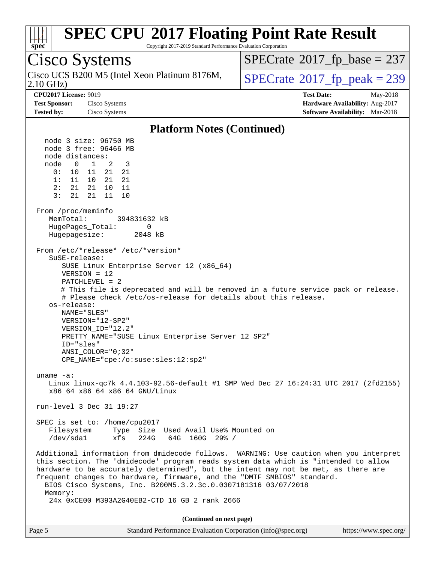

Copyright 2017-2019 Standard Performance Evaluation Corporation

## Cisco Systems

2.10 GHz) Cisco UCS B200 M5 (Intel Xeon Platinum 8176M,  $\big|$  [SPECrate](http://www.spec.org/auto/cpu2017/Docs/result-fields.html#SPECrate2017fppeak)®[2017\\_fp\\_peak = 2](http://www.spec.org/auto/cpu2017/Docs/result-fields.html#SPECrate2017fppeak)39

 $SPECTate$ <sup>®</sup>[2017\\_fp\\_base =](http://www.spec.org/auto/cpu2017/Docs/result-fields.html#SPECrate2017fpbase) 237

**[CPU2017 License:](http://www.spec.org/auto/cpu2017/Docs/result-fields.html#CPU2017License)** 9019 **[Test Date:](http://www.spec.org/auto/cpu2017/Docs/result-fields.html#TestDate)** May-2018 **[Test Sponsor:](http://www.spec.org/auto/cpu2017/Docs/result-fields.html#TestSponsor)** Cisco Systems **[Hardware Availability:](http://www.spec.org/auto/cpu2017/Docs/result-fields.html#HardwareAvailability)** Aug-2017 **[Tested by:](http://www.spec.org/auto/cpu2017/Docs/result-fields.html#Testedby)** Cisco Systems **[Software Availability:](http://www.spec.org/auto/cpu2017/Docs/result-fields.html#SoftwareAvailability)** Mar-2018

#### **[Platform Notes \(Continued\)](http://www.spec.org/auto/cpu2017/Docs/result-fields.html#PlatformNotes)**

 node 3 size: 96750 MB node 3 free: 96466 MB node distances: node 0 1 2 3 0: 10 11 21 21 1: 11 10 21 21 2: 21 21 10 11 3: 21 21 11 10 From /proc/meminfo MemTotal: 394831632 kB HugePages Total: 0 Hugepagesize: 2048 kB From /etc/\*release\* /etc/\*version\* SuSE-release: SUSE Linux Enterprise Server 12 (x86\_64) VERSION = 12 PATCHLEVEL = 2 # This file is deprecated and will be removed in a future service pack or release. # Please check /etc/os-release for details about this release. os-release: NAME="SLES" VERSION="12-SP2" VERSION\_ID="12.2" PRETTY\_NAME="SUSE Linux Enterprise Server 12 SP2" ID="sles" ANSI\_COLOR="0;32" CPE\_NAME="cpe:/o:suse:sles:12:sp2" uname -a: Linux linux-qc7k 4.4.103-92.56-default #1 SMP Wed Dec 27 16:24:31 UTC 2017 (2fd2155) x86\_64 x86\_64 x86\_64 GNU/Linux run-level 3 Dec 31 19:27 SPEC is set to: /home/cpu2017 Filesystem Type Size Used Avail Use% Mounted on /dev/sda1 xfs 224G 64G 160G 29% / Additional information from dmidecode follows. WARNING: Use caution when you interpret this section. The 'dmidecode' program reads system data which is "intended to allow hardware to be accurately determined", but the intent may not be met, as there are frequent changes to hardware, firmware, and the "DMTF SMBIOS" standard. BIOS Cisco Systems, Inc. B200M5.3.2.3c.0.0307181316 03/07/2018 Memory: 24x 0xCE00 M393A2G40EB2-CTD 16 GB 2 rank 2666 **(Continued on next page)**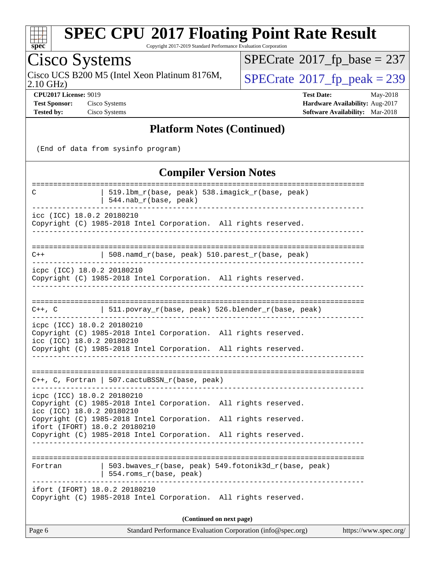

Copyright 2017-2019 Standard Performance Evaluation Corporation

## Cisco Systems

Cisco UCS B200 M5 (Intel Xeon Platinum 8176M,  $\big|$  [SPECrate](http://www.spec.org/auto/cpu2017/Docs/result-fields.html#SPECrate2017fppeak)®[2017\\_fp\\_peak = 2](http://www.spec.org/auto/cpu2017/Docs/result-fields.html#SPECrate2017fppeak)39

 $SPECTate@2017_fp\_base = 237$ 

2.10 GHz)

**[CPU2017 License:](http://www.spec.org/auto/cpu2017/Docs/result-fields.html#CPU2017License)** 9019 **[Test Date:](http://www.spec.org/auto/cpu2017/Docs/result-fields.html#TestDate)** May-2018 **[Test Sponsor:](http://www.spec.org/auto/cpu2017/Docs/result-fields.html#TestSponsor)** Cisco Systems **Cisco Systems [Hardware Availability:](http://www.spec.org/auto/cpu2017/Docs/result-fields.html#HardwareAvailability)** Aug-2017 **[Tested by:](http://www.spec.org/auto/cpu2017/Docs/result-fields.html#Testedby)** Cisco Systems **[Software Availability:](http://www.spec.org/auto/cpu2017/Docs/result-fields.html#SoftwareAvailability)** Mar-2018

#### **[Platform Notes \(Continued\)](http://www.spec.org/auto/cpu2017/Docs/result-fields.html#PlatformNotes)**

(End of data from sysinfo program)

**[Compiler Version Notes](http://www.spec.org/auto/cpu2017/Docs/result-fields.html#CompilerVersionNotes)** ============================================================================== C | 519.lbm\_r(base, peak) 538.imagick\_r(base, peak) | 544.nab\_r(base, peak) ----------------------------------------------------------------------------- icc (ICC) 18.0.2 20180210 Copyright (C) 1985-2018 Intel Corporation. All rights reserved. ------------------------------------------------------------------------------ ============================================================================== C++ | 508.namd\_r(base, peak) 510.parest\_r(base, peak) ----------------------------------------------------------------------------- icpc (ICC) 18.0.2 20180210 Copyright (C) 1985-2018 Intel Corporation. All rights reserved. ------------------------------------------------------------------------------ ============================================================================== C++, C  $| 511.povray_r(base, peak) 526.blender_r(base, peak)$ ----------------------------------------------------------------------------- icpc (ICC) 18.0.2 20180210 Copyright (C) 1985-2018 Intel Corporation. All rights reserved. icc (ICC) 18.0.2 20180210 Copyright (C) 1985-2018 Intel Corporation. All rights reserved. ------------------------------------------------------------------------------ ============================================================================== C++, C, Fortran | 507.cactuBSSN\_r(base, peak) ----------------------------------------------------------------------------- icpc (ICC) 18.0.2 20180210 Copyright (C) 1985-2018 Intel Corporation. All rights reserved. icc (ICC) 18.0.2 20180210 Copyright (C) 1985-2018 Intel Corporation. All rights reserved. ifort (IFORT) 18.0.2 20180210 Copyright (C) 1985-2018 Intel Corporation. All rights reserved. ------------------------------------------------------------------------------ ============================================================================== Fortran | 503.bwaves\_r(base, peak) 549.fotonik3d\_r(base, peak) | 554.roms\_r(base, peak) ----------------------------------------------------------------------------- ifort (IFORT) 18.0.2 20180210 Copyright (C) 1985-2018 Intel Corporation. All rights reserved. **(Continued on next page)**

Page 6 Standard Performance Evaluation Corporation [\(info@spec.org\)](mailto:info@spec.org) <https://www.spec.org/>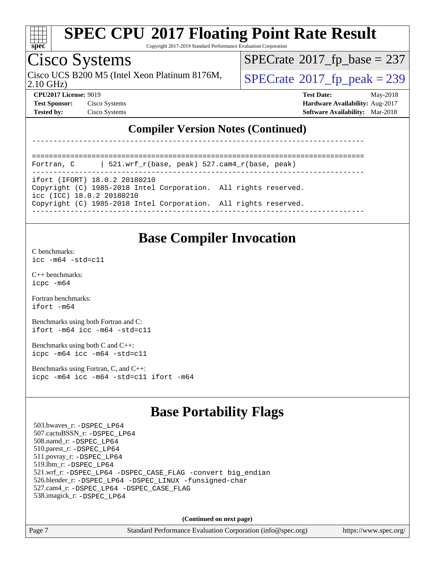

Copyright 2017-2019 Standard Performance Evaluation Corporation

## Cisco Systems

2.10 GHz) Cisco UCS B200 M5 (Intel Xeon Platinum 8176M,  $\big|$  [SPECrate](http://www.spec.org/auto/cpu2017/Docs/result-fields.html#SPECrate2017fppeak)®[2017\\_fp\\_peak = 2](http://www.spec.org/auto/cpu2017/Docs/result-fields.html#SPECrate2017fppeak)39

 $SPECTate$ <sup>®</sup>[2017\\_fp\\_base =](http://www.spec.org/auto/cpu2017/Docs/result-fields.html#SPECrate2017fpbase) 237

**[Test Sponsor:](http://www.spec.org/auto/cpu2017/Docs/result-fields.html#TestSponsor)** Cisco Systems **Cisco Systems [Hardware Availability:](http://www.spec.org/auto/cpu2017/Docs/result-fields.html#HardwareAvailability)** Aug-2017

**[CPU2017 License:](http://www.spec.org/auto/cpu2017/Docs/result-fields.html#CPU2017License)** 9019 **[Test Date:](http://www.spec.org/auto/cpu2017/Docs/result-fields.html#TestDate)** May-2018

**[Tested by:](http://www.spec.org/auto/cpu2017/Docs/result-fields.html#Testedby)** Cisco Systems **[Software Availability:](http://www.spec.org/auto/cpu2017/Docs/result-fields.html#SoftwareAvailability)** Mar-2018

### **[Compiler Version Notes \(Continued\)](http://www.spec.org/auto/cpu2017/Docs/result-fields.html#CompilerVersionNotes)**

------------------------------------------------------------------------------

```
==============================================================================
Fortran, C | 521.wrf_r(base, peak) 527.cam4_r(base, peak)
```
----------------------------------------------------------------------------- ifort (IFORT) 18.0.2 20180210

Copyright (C) 1985-2018 Intel Corporation. All rights reserved.

icc (ICC) 18.0.2 20180210

Copyright (C) 1985-2018 Intel Corporation. All rights reserved.

------------------------------------------------------------------------------

### **[Base Compiler Invocation](http://www.spec.org/auto/cpu2017/Docs/result-fields.html#BaseCompilerInvocation)**

[C benchmarks](http://www.spec.org/auto/cpu2017/Docs/result-fields.html#Cbenchmarks): [icc -m64 -std=c11](http://www.spec.org/cpu2017/results/res2018q2/cpu2017-20180612-06925.flags.html#user_CCbase_intel_icc_64bit_c11_33ee0cdaae7deeeab2a9725423ba97205ce30f63b9926c2519791662299b76a0318f32ddfffdc46587804de3178b4f9328c46fa7c2b0cd779d7a61945c91cd35)

[C++ benchmarks:](http://www.spec.org/auto/cpu2017/Docs/result-fields.html#CXXbenchmarks) [icpc -m64](http://www.spec.org/cpu2017/results/res2018q2/cpu2017-20180612-06925.flags.html#user_CXXbase_intel_icpc_64bit_4ecb2543ae3f1412ef961e0650ca070fec7b7afdcd6ed48761b84423119d1bf6bdf5cad15b44d48e7256388bc77273b966e5eb805aefd121eb22e9299b2ec9d9)

[Fortran benchmarks](http://www.spec.org/auto/cpu2017/Docs/result-fields.html#Fortranbenchmarks): [ifort -m64](http://www.spec.org/cpu2017/results/res2018q2/cpu2017-20180612-06925.flags.html#user_FCbase_intel_ifort_64bit_24f2bb282fbaeffd6157abe4f878425411749daecae9a33200eee2bee2fe76f3b89351d69a8130dd5949958ce389cf37ff59a95e7a40d588e8d3a57e0c3fd751)

[Benchmarks using both Fortran and C](http://www.spec.org/auto/cpu2017/Docs/result-fields.html#BenchmarksusingbothFortranandC): [ifort -m64](http://www.spec.org/cpu2017/results/res2018q2/cpu2017-20180612-06925.flags.html#user_CC_FCbase_intel_ifort_64bit_24f2bb282fbaeffd6157abe4f878425411749daecae9a33200eee2bee2fe76f3b89351d69a8130dd5949958ce389cf37ff59a95e7a40d588e8d3a57e0c3fd751) [icc -m64 -std=c11](http://www.spec.org/cpu2017/results/res2018q2/cpu2017-20180612-06925.flags.html#user_CC_FCbase_intel_icc_64bit_c11_33ee0cdaae7deeeab2a9725423ba97205ce30f63b9926c2519791662299b76a0318f32ddfffdc46587804de3178b4f9328c46fa7c2b0cd779d7a61945c91cd35)

[Benchmarks using both C and C++](http://www.spec.org/auto/cpu2017/Docs/result-fields.html#BenchmarksusingbothCandCXX): [icpc -m64](http://www.spec.org/cpu2017/results/res2018q2/cpu2017-20180612-06925.flags.html#user_CC_CXXbase_intel_icpc_64bit_4ecb2543ae3f1412ef961e0650ca070fec7b7afdcd6ed48761b84423119d1bf6bdf5cad15b44d48e7256388bc77273b966e5eb805aefd121eb22e9299b2ec9d9) [icc -m64 -std=c11](http://www.spec.org/cpu2017/results/res2018q2/cpu2017-20180612-06925.flags.html#user_CC_CXXbase_intel_icc_64bit_c11_33ee0cdaae7deeeab2a9725423ba97205ce30f63b9926c2519791662299b76a0318f32ddfffdc46587804de3178b4f9328c46fa7c2b0cd779d7a61945c91cd35)

[Benchmarks using Fortran, C, and C++:](http://www.spec.org/auto/cpu2017/Docs/result-fields.html#BenchmarksusingFortranCandCXX) [icpc -m64](http://www.spec.org/cpu2017/results/res2018q2/cpu2017-20180612-06925.flags.html#user_CC_CXX_FCbase_intel_icpc_64bit_4ecb2543ae3f1412ef961e0650ca070fec7b7afdcd6ed48761b84423119d1bf6bdf5cad15b44d48e7256388bc77273b966e5eb805aefd121eb22e9299b2ec9d9) [icc -m64 -std=c11](http://www.spec.org/cpu2017/results/res2018q2/cpu2017-20180612-06925.flags.html#user_CC_CXX_FCbase_intel_icc_64bit_c11_33ee0cdaae7deeeab2a9725423ba97205ce30f63b9926c2519791662299b76a0318f32ddfffdc46587804de3178b4f9328c46fa7c2b0cd779d7a61945c91cd35) [ifort -m64](http://www.spec.org/cpu2017/results/res2018q2/cpu2017-20180612-06925.flags.html#user_CC_CXX_FCbase_intel_ifort_64bit_24f2bb282fbaeffd6157abe4f878425411749daecae9a33200eee2bee2fe76f3b89351d69a8130dd5949958ce389cf37ff59a95e7a40d588e8d3a57e0c3fd751)

### **[Base Portability Flags](http://www.spec.org/auto/cpu2017/Docs/result-fields.html#BasePortabilityFlags)**

 503.bwaves\_r: [-DSPEC\\_LP64](http://www.spec.org/cpu2017/results/res2018q2/cpu2017-20180612-06925.flags.html#suite_basePORTABILITY503_bwaves_r_DSPEC_LP64) 507.cactuBSSN\_r: [-DSPEC\\_LP64](http://www.spec.org/cpu2017/results/res2018q2/cpu2017-20180612-06925.flags.html#suite_basePORTABILITY507_cactuBSSN_r_DSPEC_LP64) 508.namd\_r: [-DSPEC\\_LP64](http://www.spec.org/cpu2017/results/res2018q2/cpu2017-20180612-06925.flags.html#suite_basePORTABILITY508_namd_r_DSPEC_LP64) 510.parest\_r: [-DSPEC\\_LP64](http://www.spec.org/cpu2017/results/res2018q2/cpu2017-20180612-06925.flags.html#suite_basePORTABILITY510_parest_r_DSPEC_LP64) 511.povray\_r: [-DSPEC\\_LP64](http://www.spec.org/cpu2017/results/res2018q2/cpu2017-20180612-06925.flags.html#suite_basePORTABILITY511_povray_r_DSPEC_LP64) 519.lbm\_r: [-DSPEC\\_LP64](http://www.spec.org/cpu2017/results/res2018q2/cpu2017-20180612-06925.flags.html#suite_basePORTABILITY519_lbm_r_DSPEC_LP64) 521.wrf\_r: [-DSPEC\\_LP64](http://www.spec.org/cpu2017/results/res2018q2/cpu2017-20180612-06925.flags.html#suite_basePORTABILITY521_wrf_r_DSPEC_LP64) [-DSPEC\\_CASE\\_FLAG](http://www.spec.org/cpu2017/results/res2018q2/cpu2017-20180612-06925.flags.html#b521.wrf_r_baseCPORTABILITY_DSPEC_CASE_FLAG) [-convert big\\_endian](http://www.spec.org/cpu2017/results/res2018q2/cpu2017-20180612-06925.flags.html#user_baseFPORTABILITY521_wrf_r_convert_big_endian_c3194028bc08c63ac5d04de18c48ce6d347e4e562e8892b8bdbdc0214820426deb8554edfa529a3fb25a586e65a3d812c835984020483e7e73212c4d31a38223) 526.blender\_r: [-DSPEC\\_LP64](http://www.spec.org/cpu2017/results/res2018q2/cpu2017-20180612-06925.flags.html#suite_basePORTABILITY526_blender_r_DSPEC_LP64) [-DSPEC\\_LINUX](http://www.spec.org/cpu2017/results/res2018q2/cpu2017-20180612-06925.flags.html#b526.blender_r_baseCPORTABILITY_DSPEC_LINUX) [-funsigned-char](http://www.spec.org/cpu2017/results/res2018q2/cpu2017-20180612-06925.flags.html#user_baseCPORTABILITY526_blender_r_force_uchar_40c60f00ab013830e2dd6774aeded3ff59883ba5a1fc5fc14077f794d777847726e2a5858cbc7672e36e1b067e7e5c1d9a74f7176df07886a243d7cc18edfe67) 527.cam4\_r: [-DSPEC\\_LP64](http://www.spec.org/cpu2017/results/res2018q2/cpu2017-20180612-06925.flags.html#suite_basePORTABILITY527_cam4_r_DSPEC_LP64) [-DSPEC\\_CASE\\_FLAG](http://www.spec.org/cpu2017/results/res2018q2/cpu2017-20180612-06925.flags.html#b527.cam4_r_baseCPORTABILITY_DSPEC_CASE_FLAG) 538.imagick\_r: [-DSPEC\\_LP64](http://www.spec.org/cpu2017/results/res2018q2/cpu2017-20180612-06925.flags.html#suite_basePORTABILITY538_imagick_r_DSPEC_LP64)

**(Continued on next page)**

Page 7 Standard Performance Evaluation Corporation [\(info@spec.org\)](mailto:info@spec.org) <https://www.spec.org/>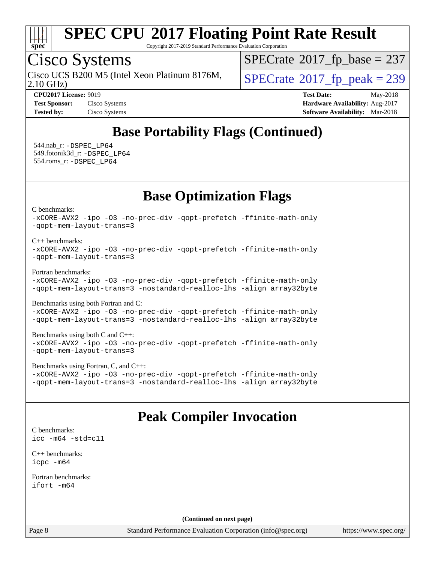

Copyright 2017-2019 Standard Performance Evaluation Corporation

## Cisco Systems

Cisco UCS B200 M5 (Intel Xeon Platinum 8176M,  $\big|$  [SPECrate](http://www.spec.org/auto/cpu2017/Docs/result-fields.html#SPECrate2017fppeak)®[2017\\_fp\\_peak = 2](http://www.spec.org/auto/cpu2017/Docs/result-fields.html#SPECrate2017fppeak)39

 $SPECTate$ <sup>®</sup>[2017\\_fp\\_base =](http://www.spec.org/auto/cpu2017/Docs/result-fields.html#SPECrate2017fpbase) 237

2.10 GHz)

**[CPU2017 License:](http://www.spec.org/auto/cpu2017/Docs/result-fields.html#CPU2017License)** 9019 **[Test Date:](http://www.spec.org/auto/cpu2017/Docs/result-fields.html#TestDate)** May-2018 **[Test Sponsor:](http://www.spec.org/auto/cpu2017/Docs/result-fields.html#TestSponsor)** Cisco Systems **Cisco Systems [Hardware Availability:](http://www.spec.org/auto/cpu2017/Docs/result-fields.html#HardwareAvailability)** Aug-2017 **[Tested by:](http://www.spec.org/auto/cpu2017/Docs/result-fields.html#Testedby)** Cisco Systems **[Software Availability:](http://www.spec.org/auto/cpu2017/Docs/result-fields.html#SoftwareAvailability)** Mar-2018

### **[Base Portability Flags \(Continued\)](http://www.spec.org/auto/cpu2017/Docs/result-fields.html#BasePortabilityFlags)**

 544.nab\_r: [-DSPEC\\_LP64](http://www.spec.org/cpu2017/results/res2018q2/cpu2017-20180612-06925.flags.html#suite_basePORTABILITY544_nab_r_DSPEC_LP64) 549.fotonik3d\_r: [-DSPEC\\_LP64](http://www.spec.org/cpu2017/results/res2018q2/cpu2017-20180612-06925.flags.html#suite_basePORTABILITY549_fotonik3d_r_DSPEC_LP64) 554.roms\_r: [-DSPEC\\_LP64](http://www.spec.org/cpu2017/results/res2018q2/cpu2017-20180612-06925.flags.html#suite_basePORTABILITY554_roms_r_DSPEC_LP64)

**[Base Optimization Flags](http://www.spec.org/auto/cpu2017/Docs/result-fields.html#BaseOptimizationFlags)**

[C benchmarks](http://www.spec.org/auto/cpu2017/Docs/result-fields.html#Cbenchmarks):

[-xCORE-AVX2](http://www.spec.org/cpu2017/results/res2018q2/cpu2017-20180612-06925.flags.html#user_CCbase_f-xCORE-AVX2) [-ipo](http://www.spec.org/cpu2017/results/res2018q2/cpu2017-20180612-06925.flags.html#user_CCbase_f-ipo) [-O3](http://www.spec.org/cpu2017/results/res2018q2/cpu2017-20180612-06925.flags.html#user_CCbase_f-O3) [-no-prec-div](http://www.spec.org/cpu2017/results/res2018q2/cpu2017-20180612-06925.flags.html#user_CCbase_f-no-prec-div) [-qopt-prefetch](http://www.spec.org/cpu2017/results/res2018q2/cpu2017-20180612-06925.flags.html#user_CCbase_f-qopt-prefetch) [-ffinite-math-only](http://www.spec.org/cpu2017/results/res2018q2/cpu2017-20180612-06925.flags.html#user_CCbase_f_finite_math_only_cb91587bd2077682c4b38af759c288ed7c732db004271a9512da14a4f8007909a5f1427ecbf1a0fb78ff2a814402c6114ac565ca162485bbcae155b5e4258871) [-qopt-mem-layout-trans=3](http://www.spec.org/cpu2017/results/res2018q2/cpu2017-20180612-06925.flags.html#user_CCbase_f-qopt-mem-layout-trans_de80db37974c74b1f0e20d883f0b675c88c3b01e9d123adea9b28688d64333345fb62bc4a798493513fdb68f60282f9a726aa07f478b2f7113531aecce732043)

[C++ benchmarks:](http://www.spec.org/auto/cpu2017/Docs/result-fields.html#CXXbenchmarks)

[-xCORE-AVX2](http://www.spec.org/cpu2017/results/res2018q2/cpu2017-20180612-06925.flags.html#user_CXXbase_f-xCORE-AVX2) [-ipo](http://www.spec.org/cpu2017/results/res2018q2/cpu2017-20180612-06925.flags.html#user_CXXbase_f-ipo) [-O3](http://www.spec.org/cpu2017/results/res2018q2/cpu2017-20180612-06925.flags.html#user_CXXbase_f-O3) [-no-prec-div](http://www.spec.org/cpu2017/results/res2018q2/cpu2017-20180612-06925.flags.html#user_CXXbase_f-no-prec-div) [-qopt-prefetch](http://www.spec.org/cpu2017/results/res2018q2/cpu2017-20180612-06925.flags.html#user_CXXbase_f-qopt-prefetch) [-ffinite-math-only](http://www.spec.org/cpu2017/results/res2018q2/cpu2017-20180612-06925.flags.html#user_CXXbase_f_finite_math_only_cb91587bd2077682c4b38af759c288ed7c732db004271a9512da14a4f8007909a5f1427ecbf1a0fb78ff2a814402c6114ac565ca162485bbcae155b5e4258871) [-qopt-mem-layout-trans=3](http://www.spec.org/cpu2017/results/res2018q2/cpu2017-20180612-06925.flags.html#user_CXXbase_f-qopt-mem-layout-trans_de80db37974c74b1f0e20d883f0b675c88c3b01e9d123adea9b28688d64333345fb62bc4a798493513fdb68f60282f9a726aa07f478b2f7113531aecce732043)

[Fortran benchmarks](http://www.spec.org/auto/cpu2017/Docs/result-fields.html#Fortranbenchmarks):

[-xCORE-AVX2](http://www.spec.org/cpu2017/results/res2018q2/cpu2017-20180612-06925.flags.html#user_FCbase_f-xCORE-AVX2) [-ipo](http://www.spec.org/cpu2017/results/res2018q2/cpu2017-20180612-06925.flags.html#user_FCbase_f-ipo) [-O3](http://www.spec.org/cpu2017/results/res2018q2/cpu2017-20180612-06925.flags.html#user_FCbase_f-O3) [-no-prec-div](http://www.spec.org/cpu2017/results/res2018q2/cpu2017-20180612-06925.flags.html#user_FCbase_f-no-prec-div) [-qopt-prefetch](http://www.spec.org/cpu2017/results/res2018q2/cpu2017-20180612-06925.flags.html#user_FCbase_f-qopt-prefetch) [-ffinite-math-only](http://www.spec.org/cpu2017/results/res2018q2/cpu2017-20180612-06925.flags.html#user_FCbase_f_finite_math_only_cb91587bd2077682c4b38af759c288ed7c732db004271a9512da14a4f8007909a5f1427ecbf1a0fb78ff2a814402c6114ac565ca162485bbcae155b5e4258871) [-qopt-mem-layout-trans=3](http://www.spec.org/cpu2017/results/res2018q2/cpu2017-20180612-06925.flags.html#user_FCbase_f-qopt-mem-layout-trans_de80db37974c74b1f0e20d883f0b675c88c3b01e9d123adea9b28688d64333345fb62bc4a798493513fdb68f60282f9a726aa07f478b2f7113531aecce732043) [-nostandard-realloc-lhs](http://www.spec.org/cpu2017/results/res2018q2/cpu2017-20180612-06925.flags.html#user_FCbase_f_2003_std_realloc_82b4557e90729c0f113870c07e44d33d6f5a304b4f63d4c15d2d0f1fab99f5daaed73bdb9275d9ae411527f28b936061aa8b9c8f2d63842963b95c9dd6426b8a) [-align array32byte](http://www.spec.org/cpu2017/results/res2018q2/cpu2017-20180612-06925.flags.html#user_FCbase_align_array32byte_b982fe038af199962ba9a80c053b8342c548c85b40b8e86eb3cc33dee0d7986a4af373ac2d51c3f7cf710a18d62fdce2948f201cd044323541f22fc0fffc51b6)

[Benchmarks using both Fortran and C](http://www.spec.org/auto/cpu2017/Docs/result-fields.html#BenchmarksusingbothFortranandC): [-xCORE-AVX2](http://www.spec.org/cpu2017/results/res2018q2/cpu2017-20180612-06925.flags.html#user_CC_FCbase_f-xCORE-AVX2) [-ipo](http://www.spec.org/cpu2017/results/res2018q2/cpu2017-20180612-06925.flags.html#user_CC_FCbase_f-ipo) [-O3](http://www.spec.org/cpu2017/results/res2018q2/cpu2017-20180612-06925.flags.html#user_CC_FCbase_f-O3) [-no-prec-div](http://www.spec.org/cpu2017/results/res2018q2/cpu2017-20180612-06925.flags.html#user_CC_FCbase_f-no-prec-div) [-qopt-prefetch](http://www.spec.org/cpu2017/results/res2018q2/cpu2017-20180612-06925.flags.html#user_CC_FCbase_f-qopt-prefetch) [-ffinite-math-only](http://www.spec.org/cpu2017/results/res2018q2/cpu2017-20180612-06925.flags.html#user_CC_FCbase_f_finite_math_only_cb91587bd2077682c4b38af759c288ed7c732db004271a9512da14a4f8007909a5f1427ecbf1a0fb78ff2a814402c6114ac565ca162485bbcae155b5e4258871) [-qopt-mem-layout-trans=3](http://www.spec.org/cpu2017/results/res2018q2/cpu2017-20180612-06925.flags.html#user_CC_FCbase_f-qopt-mem-layout-trans_de80db37974c74b1f0e20d883f0b675c88c3b01e9d123adea9b28688d64333345fb62bc4a798493513fdb68f60282f9a726aa07f478b2f7113531aecce732043) [-nostandard-realloc-lhs](http://www.spec.org/cpu2017/results/res2018q2/cpu2017-20180612-06925.flags.html#user_CC_FCbase_f_2003_std_realloc_82b4557e90729c0f113870c07e44d33d6f5a304b4f63d4c15d2d0f1fab99f5daaed73bdb9275d9ae411527f28b936061aa8b9c8f2d63842963b95c9dd6426b8a) [-align array32byte](http://www.spec.org/cpu2017/results/res2018q2/cpu2017-20180612-06925.flags.html#user_CC_FCbase_align_array32byte_b982fe038af199962ba9a80c053b8342c548c85b40b8e86eb3cc33dee0d7986a4af373ac2d51c3f7cf710a18d62fdce2948f201cd044323541f22fc0fffc51b6)

[Benchmarks using both C and C++](http://www.spec.org/auto/cpu2017/Docs/result-fields.html#BenchmarksusingbothCandCXX): [-xCORE-AVX2](http://www.spec.org/cpu2017/results/res2018q2/cpu2017-20180612-06925.flags.html#user_CC_CXXbase_f-xCORE-AVX2) [-ipo](http://www.spec.org/cpu2017/results/res2018q2/cpu2017-20180612-06925.flags.html#user_CC_CXXbase_f-ipo) [-O3](http://www.spec.org/cpu2017/results/res2018q2/cpu2017-20180612-06925.flags.html#user_CC_CXXbase_f-O3) [-no-prec-div](http://www.spec.org/cpu2017/results/res2018q2/cpu2017-20180612-06925.flags.html#user_CC_CXXbase_f-no-prec-div) [-qopt-prefetch](http://www.spec.org/cpu2017/results/res2018q2/cpu2017-20180612-06925.flags.html#user_CC_CXXbase_f-qopt-prefetch) [-ffinite-math-only](http://www.spec.org/cpu2017/results/res2018q2/cpu2017-20180612-06925.flags.html#user_CC_CXXbase_f_finite_math_only_cb91587bd2077682c4b38af759c288ed7c732db004271a9512da14a4f8007909a5f1427ecbf1a0fb78ff2a814402c6114ac565ca162485bbcae155b5e4258871) [-qopt-mem-layout-trans=3](http://www.spec.org/cpu2017/results/res2018q2/cpu2017-20180612-06925.flags.html#user_CC_CXXbase_f-qopt-mem-layout-trans_de80db37974c74b1f0e20d883f0b675c88c3b01e9d123adea9b28688d64333345fb62bc4a798493513fdb68f60282f9a726aa07f478b2f7113531aecce732043)

[Benchmarks using Fortran, C, and C++:](http://www.spec.org/auto/cpu2017/Docs/result-fields.html#BenchmarksusingFortranCandCXX) [-xCORE-AVX2](http://www.spec.org/cpu2017/results/res2018q2/cpu2017-20180612-06925.flags.html#user_CC_CXX_FCbase_f-xCORE-AVX2) [-ipo](http://www.spec.org/cpu2017/results/res2018q2/cpu2017-20180612-06925.flags.html#user_CC_CXX_FCbase_f-ipo) [-O3](http://www.spec.org/cpu2017/results/res2018q2/cpu2017-20180612-06925.flags.html#user_CC_CXX_FCbase_f-O3) [-no-prec-div](http://www.spec.org/cpu2017/results/res2018q2/cpu2017-20180612-06925.flags.html#user_CC_CXX_FCbase_f-no-prec-div) [-qopt-prefetch](http://www.spec.org/cpu2017/results/res2018q2/cpu2017-20180612-06925.flags.html#user_CC_CXX_FCbase_f-qopt-prefetch) [-ffinite-math-only](http://www.spec.org/cpu2017/results/res2018q2/cpu2017-20180612-06925.flags.html#user_CC_CXX_FCbase_f_finite_math_only_cb91587bd2077682c4b38af759c288ed7c732db004271a9512da14a4f8007909a5f1427ecbf1a0fb78ff2a814402c6114ac565ca162485bbcae155b5e4258871) [-qopt-mem-layout-trans=3](http://www.spec.org/cpu2017/results/res2018q2/cpu2017-20180612-06925.flags.html#user_CC_CXX_FCbase_f-qopt-mem-layout-trans_de80db37974c74b1f0e20d883f0b675c88c3b01e9d123adea9b28688d64333345fb62bc4a798493513fdb68f60282f9a726aa07f478b2f7113531aecce732043) [-nostandard-realloc-lhs](http://www.spec.org/cpu2017/results/res2018q2/cpu2017-20180612-06925.flags.html#user_CC_CXX_FCbase_f_2003_std_realloc_82b4557e90729c0f113870c07e44d33d6f5a304b4f63d4c15d2d0f1fab99f5daaed73bdb9275d9ae411527f28b936061aa8b9c8f2d63842963b95c9dd6426b8a) [-align array32byte](http://www.spec.org/cpu2017/results/res2018q2/cpu2017-20180612-06925.flags.html#user_CC_CXX_FCbase_align_array32byte_b982fe038af199962ba9a80c053b8342c548c85b40b8e86eb3cc33dee0d7986a4af373ac2d51c3f7cf710a18d62fdce2948f201cd044323541f22fc0fffc51b6)

### **[Peak Compiler Invocation](http://www.spec.org/auto/cpu2017/Docs/result-fields.html#PeakCompilerInvocation)**

[C benchmarks](http://www.spec.org/auto/cpu2017/Docs/result-fields.html#Cbenchmarks): [icc -m64 -std=c11](http://www.spec.org/cpu2017/results/res2018q2/cpu2017-20180612-06925.flags.html#user_CCpeak_intel_icc_64bit_c11_33ee0cdaae7deeeab2a9725423ba97205ce30f63b9926c2519791662299b76a0318f32ddfffdc46587804de3178b4f9328c46fa7c2b0cd779d7a61945c91cd35)

[C++ benchmarks:](http://www.spec.org/auto/cpu2017/Docs/result-fields.html#CXXbenchmarks) [icpc -m64](http://www.spec.org/cpu2017/results/res2018q2/cpu2017-20180612-06925.flags.html#user_CXXpeak_intel_icpc_64bit_4ecb2543ae3f1412ef961e0650ca070fec7b7afdcd6ed48761b84423119d1bf6bdf5cad15b44d48e7256388bc77273b966e5eb805aefd121eb22e9299b2ec9d9)

[Fortran benchmarks](http://www.spec.org/auto/cpu2017/Docs/result-fields.html#Fortranbenchmarks): [ifort -m64](http://www.spec.org/cpu2017/results/res2018q2/cpu2017-20180612-06925.flags.html#user_FCpeak_intel_ifort_64bit_24f2bb282fbaeffd6157abe4f878425411749daecae9a33200eee2bee2fe76f3b89351d69a8130dd5949958ce389cf37ff59a95e7a40d588e8d3a57e0c3fd751)

**(Continued on next page)**

Page 8 Standard Performance Evaluation Corporation [\(info@spec.org\)](mailto:info@spec.org) <https://www.spec.org/>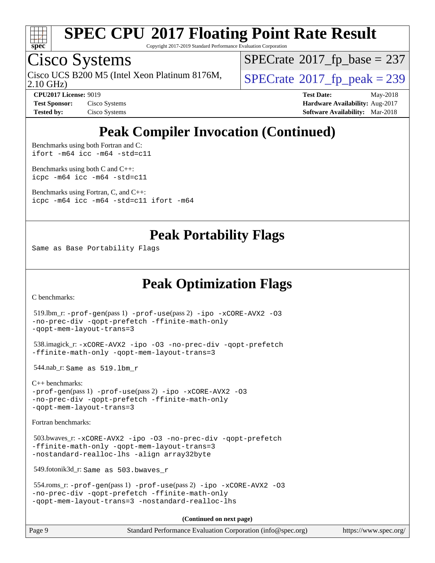

Copyright 2017-2019 Standard Performance Evaluation Corporation

### Cisco Systems

2.10 GHz) Cisco UCS B200 M5 (Intel Xeon Platinum 8176M,  $\big|$  [SPECrate](http://www.spec.org/auto/cpu2017/Docs/result-fields.html#SPECrate2017fppeak)®[2017\\_fp\\_peak = 2](http://www.spec.org/auto/cpu2017/Docs/result-fields.html#SPECrate2017fppeak)39

 $SPECTate$ <sup>®</sup>[2017\\_fp\\_base =](http://www.spec.org/auto/cpu2017/Docs/result-fields.html#SPECrate2017fpbase) 237

**[CPU2017 License:](http://www.spec.org/auto/cpu2017/Docs/result-fields.html#CPU2017License)** 9019 **[Test Date:](http://www.spec.org/auto/cpu2017/Docs/result-fields.html#TestDate)** May-2018 **[Test Sponsor:](http://www.spec.org/auto/cpu2017/Docs/result-fields.html#TestSponsor)** Cisco Systems **Cisco Systems [Hardware Availability:](http://www.spec.org/auto/cpu2017/Docs/result-fields.html#HardwareAvailability)** Aug-2017 **[Tested by:](http://www.spec.org/auto/cpu2017/Docs/result-fields.html#Testedby)** Cisco Systems **[Software Availability:](http://www.spec.org/auto/cpu2017/Docs/result-fields.html#SoftwareAvailability)** Mar-2018

## **[Peak Compiler Invocation \(Continued\)](http://www.spec.org/auto/cpu2017/Docs/result-fields.html#PeakCompilerInvocation)**

[Benchmarks using both Fortran and C](http://www.spec.org/auto/cpu2017/Docs/result-fields.html#BenchmarksusingbothFortranandC): [ifort -m64](http://www.spec.org/cpu2017/results/res2018q2/cpu2017-20180612-06925.flags.html#user_CC_FCpeak_intel_ifort_64bit_24f2bb282fbaeffd6157abe4f878425411749daecae9a33200eee2bee2fe76f3b89351d69a8130dd5949958ce389cf37ff59a95e7a40d588e8d3a57e0c3fd751) [icc -m64 -std=c11](http://www.spec.org/cpu2017/results/res2018q2/cpu2017-20180612-06925.flags.html#user_CC_FCpeak_intel_icc_64bit_c11_33ee0cdaae7deeeab2a9725423ba97205ce30f63b9926c2519791662299b76a0318f32ddfffdc46587804de3178b4f9328c46fa7c2b0cd779d7a61945c91cd35)

[Benchmarks using both C and C++](http://www.spec.org/auto/cpu2017/Docs/result-fields.html#BenchmarksusingbothCandCXX): [icpc -m64](http://www.spec.org/cpu2017/results/res2018q2/cpu2017-20180612-06925.flags.html#user_CC_CXXpeak_intel_icpc_64bit_4ecb2543ae3f1412ef961e0650ca070fec7b7afdcd6ed48761b84423119d1bf6bdf5cad15b44d48e7256388bc77273b966e5eb805aefd121eb22e9299b2ec9d9) [icc -m64 -std=c11](http://www.spec.org/cpu2017/results/res2018q2/cpu2017-20180612-06925.flags.html#user_CC_CXXpeak_intel_icc_64bit_c11_33ee0cdaae7deeeab2a9725423ba97205ce30f63b9926c2519791662299b76a0318f32ddfffdc46587804de3178b4f9328c46fa7c2b0cd779d7a61945c91cd35)

[Benchmarks using Fortran, C, and C++:](http://www.spec.org/auto/cpu2017/Docs/result-fields.html#BenchmarksusingFortranCandCXX) [icpc -m64](http://www.spec.org/cpu2017/results/res2018q2/cpu2017-20180612-06925.flags.html#user_CC_CXX_FCpeak_intel_icpc_64bit_4ecb2543ae3f1412ef961e0650ca070fec7b7afdcd6ed48761b84423119d1bf6bdf5cad15b44d48e7256388bc77273b966e5eb805aefd121eb22e9299b2ec9d9) [icc -m64 -std=c11](http://www.spec.org/cpu2017/results/res2018q2/cpu2017-20180612-06925.flags.html#user_CC_CXX_FCpeak_intel_icc_64bit_c11_33ee0cdaae7deeeab2a9725423ba97205ce30f63b9926c2519791662299b76a0318f32ddfffdc46587804de3178b4f9328c46fa7c2b0cd779d7a61945c91cd35) [ifort -m64](http://www.spec.org/cpu2017/results/res2018q2/cpu2017-20180612-06925.flags.html#user_CC_CXX_FCpeak_intel_ifort_64bit_24f2bb282fbaeffd6157abe4f878425411749daecae9a33200eee2bee2fe76f3b89351d69a8130dd5949958ce389cf37ff59a95e7a40d588e8d3a57e0c3fd751)

### **[Peak Portability Flags](http://www.spec.org/auto/cpu2017/Docs/result-fields.html#PeakPortabilityFlags)**

Same as Base Portability Flags

### **[Peak Optimization Flags](http://www.spec.org/auto/cpu2017/Docs/result-fields.html#PeakOptimizationFlags)**

[C benchmarks](http://www.spec.org/auto/cpu2017/Docs/result-fields.html#Cbenchmarks):

```
 519.lbm_r: -prof-gen(pass 1) -prof-use(pass 2) -ipo -xCORE-AVX2 -O3
-no-prec-div -qopt-prefetch -ffinite-math-only
-qopt-mem-layout-trans=3
 538.imagick_r: -xCORE-AVX2 -ipo -O3 -no-prec-div -qopt-prefetch
-ffinite-math-only -qopt-mem-layout-trans=3
 544.nab_r: Same as 519.lbm_r
C++ benchmarks: 
-prof-gen(pass 1) -prof-use(pass 2) -ipo -xCORE-AVX2 -O3
-no-prec-div -qopt-prefetch -ffinite-math-only
-qopt-mem-layout-trans=3
Fortran benchmarks: 
 503.bwaves_r: -xCORE-AVX2 -ipo -O3 -no-prec-div -qopt-prefetch
-ffinite-math-only -qopt-mem-layout-trans=3
-nostandard-realloc-lhs -align array32byte
 549.fotonik3d_r: Same as 503.bwaves_r
 554.roms_r: -prof-gen(pass 1) -prof-use(pass 2) -ipo -xCORE-AVX2 -O3
-no-prec-div -qopt-prefetch -ffinite-math-only
-qopt-mem-layout-trans=3 -nostandard-realloc-lhs
                                      (Continued on next page)
```